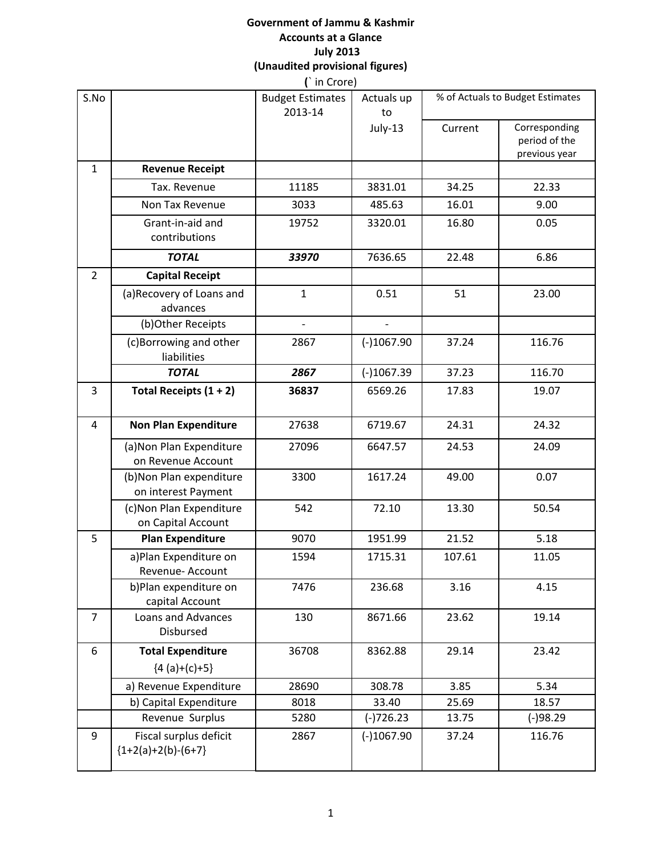# **Government of Jammu & Kashmir Accounts at a Glance July 2013 (Unaudited provisional figures) (**` in Crore)

Actuals up to

% of Actuals to Budget Estimates

S.No Budget Estimates

|              |       | July-13 | Current | Corresponding<br>period of the<br>previous year |
|--------------|-------|---------|---------|-------------------------------------------------|
| ceipt        |       |         |         |                                                 |
| านe          | 11185 | 3831.01 | 34.25   | 22.33                                           |
| enue         | 3033  | 485.63  | 16.01   | 9.00                                            |
| l and<br>ons | 19752 | 3320.01 | 16.80   | 0.05                                            |
|              | 33970 | 7636.65 | 22.48   | 6.86                                            |
| eipt         |       |         |         |                                                 |
|              |       |         |         |                                                 |

2013‐14

|                |                                                 |                |                |        | previous year |
|----------------|-------------------------------------------------|----------------|----------------|--------|---------------|
| $\mathbf{1}$   | <b>Revenue Receipt</b>                          |                |                |        |               |
|                | Tax. Revenue                                    | 11185          | 3831.01        | 34.25  | 22.33         |
|                | Non Tax Revenue                                 | 3033           | 485.63         | 16.01  | 9.00          |
|                | Grant-in-aid and                                | 19752          | 3320.01        | 16.80  | 0.05          |
|                | contributions                                   |                |                |        |               |
|                | <b>TOTAL</b>                                    | 33970          | 7636.65        | 22.48  | 6.86          |
| $\overline{2}$ | <b>Capital Receipt</b>                          |                |                |        |               |
|                | (a) Recovery of Loans and<br>advances           | $\mathbf{1}$   | 0.51           | 51     | 23.00         |
|                | (b)Other Receipts                               | $\overline{a}$ | $\overline{a}$ |        |               |
|                | (c)Borrowing and other<br>liabilities           | 2867           | $(-)1067.90$   | 37.24  | 116.76        |
|                | <b>TOTAL</b>                                    | 2867           | $(-)1067.39$   | 37.23  | 116.70        |
| 3              | Total Receipts $(1 + 2)$                        | 36837          | 6569.26        | 17.83  | 19.07         |
| 4              | <b>Non Plan Expenditure</b>                     | 27638          | 6719.67        | 24.31  | 24.32         |
|                | (a) Non Plan Expenditure                        | 27096          | 6647.57        | 24.53  | 24.09         |
|                | on Revenue Account                              |                |                |        |               |
|                | (b) Non Plan expenditure<br>on interest Payment | 3300           | 1617.24        | 49.00  | 0.07          |
|                | (c) Non Plan Expenditure<br>on Capital Account  | 542            | 72.10          | 13.30  | 50.54         |
| 5              | <b>Plan Expenditure</b>                         | 9070           | 1951.99        | 21.52  | 5.18          |
|                | a) Plan Expenditure on<br>Revenue- Account      | 1594           | 1715.31        | 107.61 | 11.05         |
|                | b)Plan expenditure on<br>capital Account        | 7476           | 236.68         | 3.16   | 4.15          |
| $\overline{7}$ | <b>Loans and Advances</b><br><b>Disbursed</b>   | 130            | 8671.66        | 23.62  | 19.14         |
| 6              | <b>Total Expenditure</b>                        | 36708          | 8362.88        | 29.14  | 23.42         |
|                | ${4 (a)+(c)+5}$                                 |                |                |        |               |
|                | a) Revenue Expenditure                          | 28690          | 308.78         | 3.85   | 5.34          |
|                | b) Capital Expenditure                          | 8018           | 33.40          | 25.69  | 18.57         |
|                | Revenue Surplus                                 | 5280           | $(-)726.23$    | 13.75  | $(-)98.29$    |
| 9              | Fiscal surplus deficit<br>${1+2(a)+2(b)-(6+7)}$ | 2867           | $(-)1067.90$   | 37.24  | 116.76        |
|                |                                                 |                |                |        |               |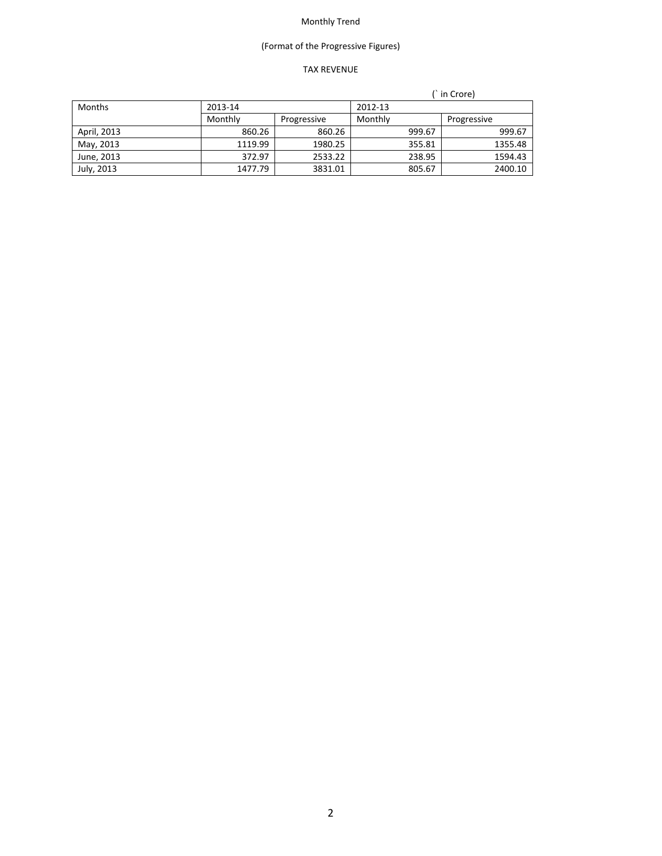# (Format of the Progressive Figures)

## TAX REVENUE

|               |         |             |         | (` in Crore) |             |
|---------------|---------|-------------|---------|--------------|-------------|
| <b>Months</b> | 2013-14 |             | 2012-13 |              |             |
|               | Monthly | Progressive | Monthly |              | Progressive |
| April, 2013   | 860.26  | 860.26      |         | 999.67       | 999.67      |
| May, 2013     | 1119.99 | 1980.25     |         | 355.81       | 1355.48     |
| June, 2013    | 372.97  | 2533.22     |         | 238.95       | 1594.43     |
| July, 2013    | 1477.79 | 3831.01     |         | 805.67       | 2400.10     |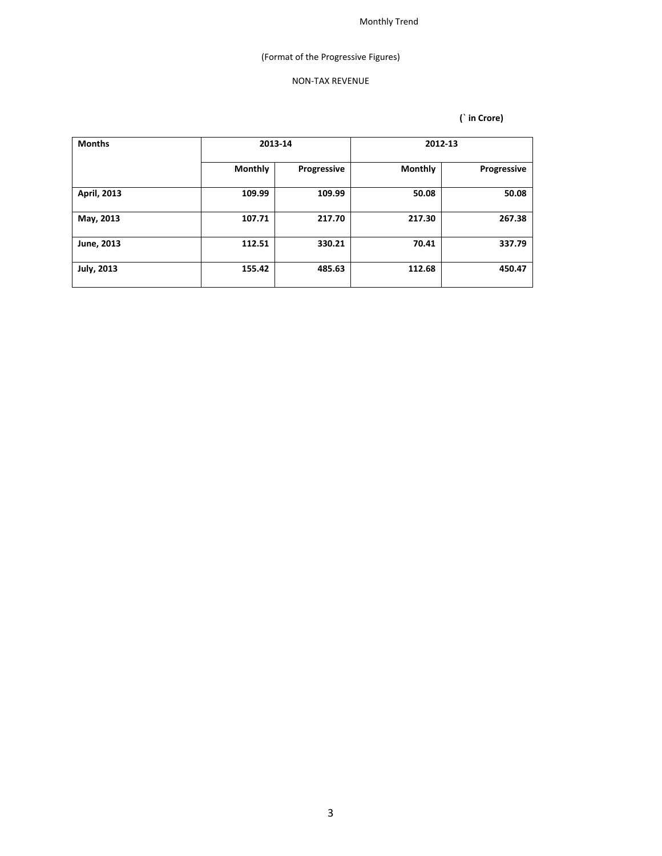# (Format of the Progressive Figures)

## NON‐TAX REVENUE

| <b>Months</b>     |                | 2013-14     |         | 2012-13     |
|-------------------|----------------|-------------|---------|-------------|
|                   | <b>Monthly</b> | Progressive | Monthly | Progressive |
| April, 2013       | 109.99         | 109.99      | 50.08   | 50.08       |
| May, 2013         | 107.71         | 217.70      | 217.30  | 267.38      |
| June, 2013        | 112.51         | 330.21      | 70.41   | 337.79      |
| <b>July, 2013</b> | 155.42         | 485.63      | 112.68  | 450.47      |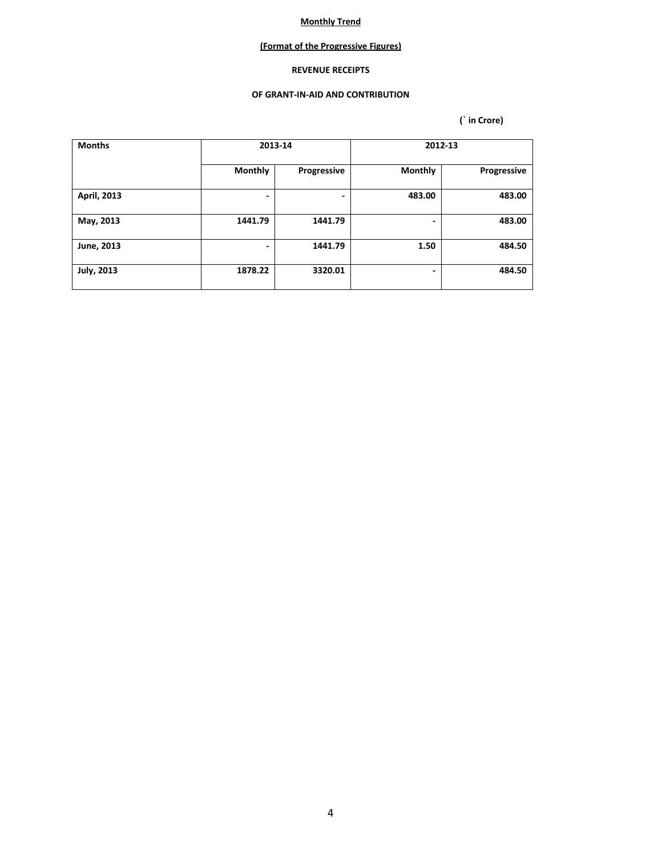## **(Format of the Progressive Figures)**

### **REVENUE RECEIPTS**

### **OF GRANT‐IN‐AID AND CONTRIBUTION**

| <b>Months</b>     | 2013-14        |                          | 2012-13        |             |
|-------------------|----------------|--------------------------|----------------|-------------|
|                   | <b>Monthly</b> | Progressive              | <b>Monthly</b> | Progressive |
| April, 2013       | ٠              | $\overline{\phantom{a}}$ | 483.00         | 483.00      |
| May, 2013         | 1441.79        | 1441.79                  |                | 483.00      |
| June, 2013        | -              | 1441.79                  | 1.50           | 484.50      |
| <b>July, 2013</b> | 1878.22        | 3320.01                  | -              | 484.50      |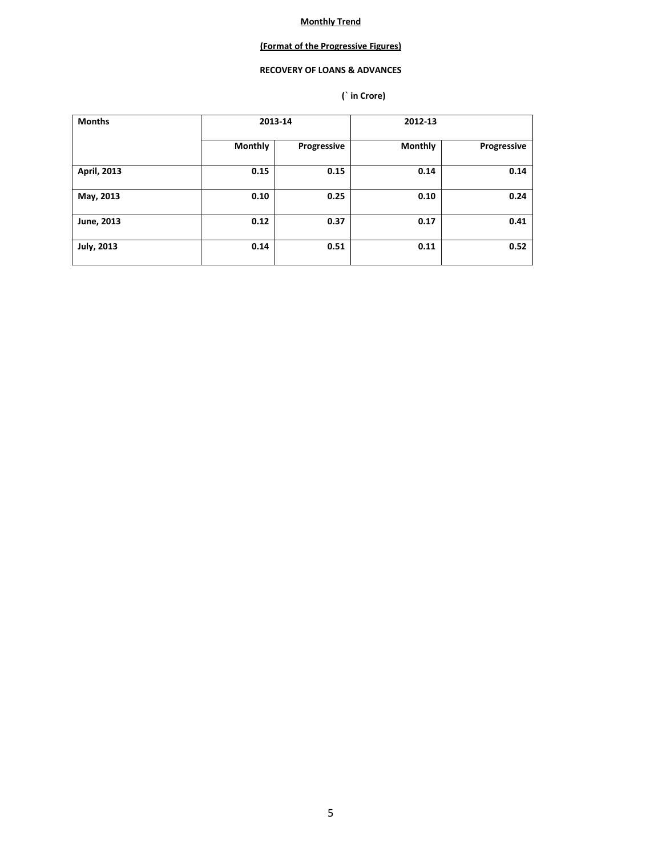## **(Format of the Progressive Figures)**

## **RECOVERY OF LOANS & ADVANCES**

| <b>Months</b>     | 2013-14        |             | 2012-13        |             |
|-------------------|----------------|-------------|----------------|-------------|
|                   | <b>Monthly</b> | Progressive | <b>Monthly</b> | Progressive |
| April, 2013       | 0.15           | 0.15        | 0.14           | 0.14        |
| May, 2013         | 0.10           | 0.25        | 0.10           | 0.24        |
| June, 2013        | 0.12           | 0.37        | 0.17           | 0.41        |
| <b>July, 2013</b> | 0.14           | 0.51        | 0.11           | 0.52        |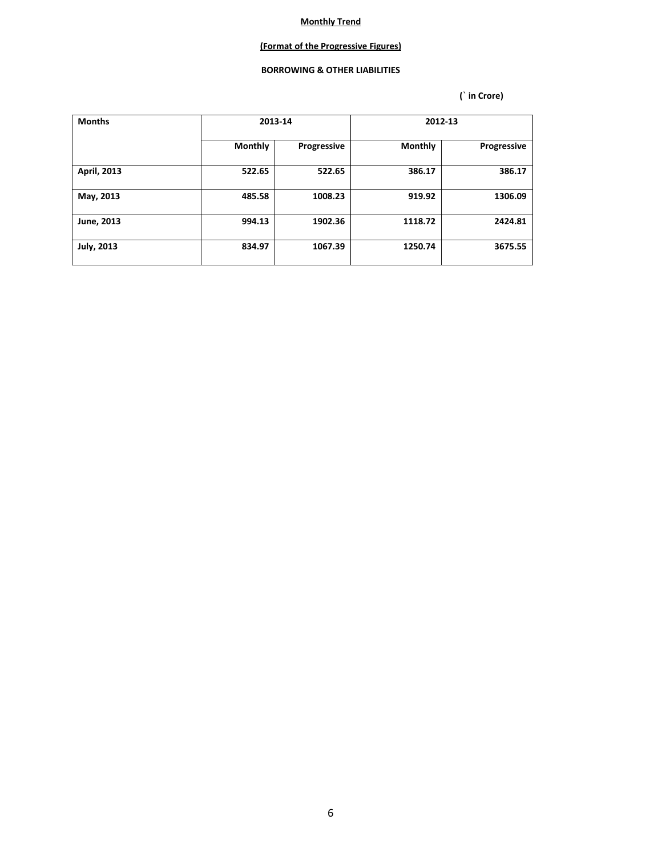## **(Format of the Progressive Figures)**

## **BORROWING & OTHER LIABILITIES**

| <b>Months</b>     |                | 2013-14     |                | 2012-13     |
|-------------------|----------------|-------------|----------------|-------------|
|                   | <b>Monthly</b> | Progressive | <b>Monthly</b> | Progressive |
| April, 2013       | 522.65         | 522.65      | 386.17         | 386.17      |
| May, 2013         | 485.58         | 1008.23     | 919.92         | 1306.09     |
| June, 2013        | 994.13         | 1902.36     | 1118.72        | 2424.81     |
| <b>July, 2013</b> | 834.97         | 1067.39     | 1250.74        | 3675.55     |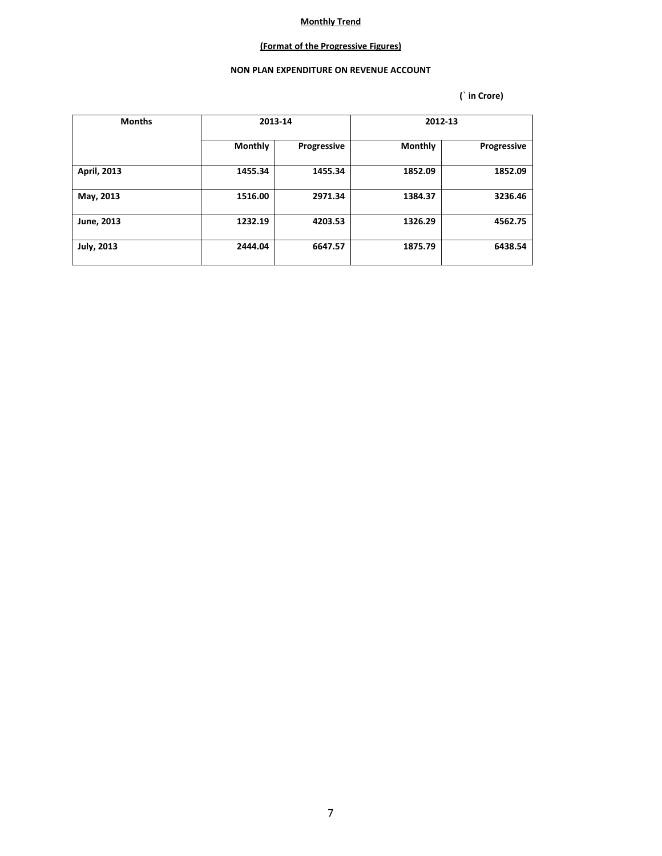## **(Format of the Progressive Figures)**

## **NON PLAN EXPENDITURE ON REVENUE ACCOUNT**

| <b>Months</b>     | 2013-14        |             | 2012-13        |             |
|-------------------|----------------|-------------|----------------|-------------|
|                   | <b>Monthly</b> | Progressive | <b>Monthly</b> | Progressive |
| April, 2013       | 1455.34        | 1455.34     | 1852.09        | 1852.09     |
| May, 2013         | 1516.00        | 2971.34     | 1384.37        | 3236.46     |
| June, 2013        | 1232.19        | 4203.53     | 1326.29        | 4562.75     |
| <b>July, 2013</b> | 2444.04        | 6647.57     | 1875.79        | 6438.54     |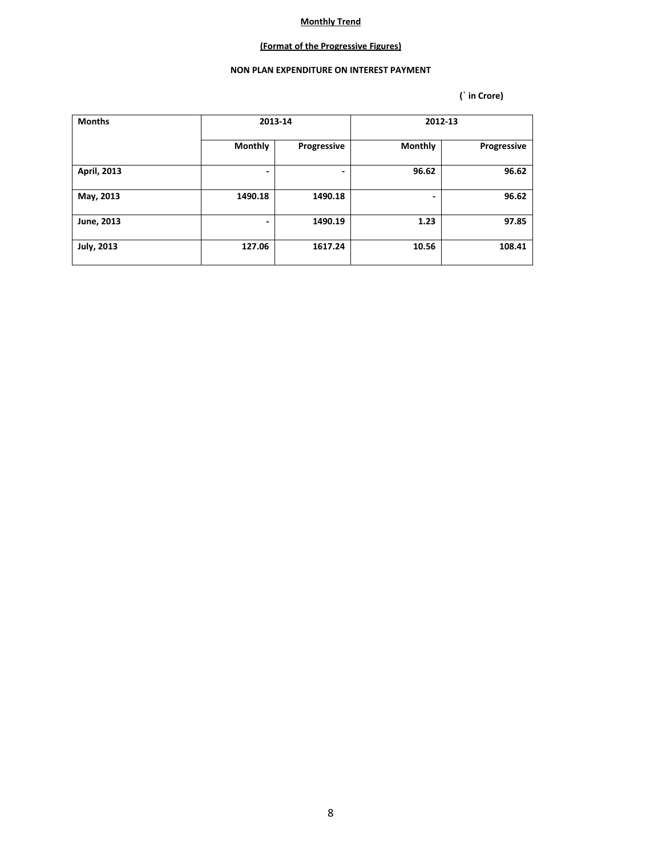## **(Format of the Progressive Figures)**

## **NON PLAN EXPENDITURE ON INTEREST PAYMENT**

| <b>Months</b>     |                          | 2013-14     | 2012-13        |             |
|-------------------|--------------------------|-------------|----------------|-------------|
|                   | <b>Monthly</b>           | Progressive | <b>Monthly</b> | Progressive |
| April, 2013       | $\overline{\phantom{0}}$ | ٠           | 96.62          | 96.62       |
| May, 2013         | 1490.18                  | 1490.18     | -              | 96.62       |
| June, 2013        | -                        | 1490.19     | 1.23           | 97.85       |
| <b>July, 2013</b> | 127.06                   | 1617.24     | 10.56          | 108.41      |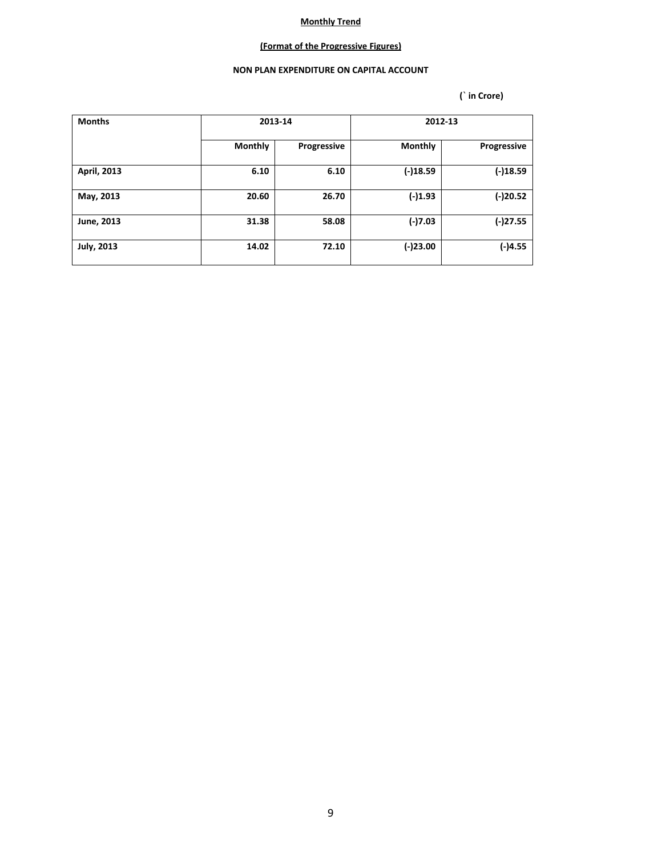## **(Format of the Progressive Figures)**

## **NON PLAN EXPENDITURE ON CAPITAL ACCOUNT**

| <b>Months</b>     | 2013-14        |             | 2012-13        |             |
|-------------------|----------------|-------------|----------------|-------------|
|                   | <b>Monthly</b> | Progressive | <b>Monthly</b> | Progressive |
| April, 2013       | 6.10           | 6.10        | $(-)18.59$     | (-)18.59    |
| May, 2013         | 20.60          | 26.70       | $(-)1.93$      | (-)20.52    |
| June, 2013        | 31.38          | 58.08       | $(-)7.03$      | $(-)27.55$  |
| <b>July, 2013</b> | 14.02          | 72.10       | $(-)23.00$     | $(-)4.55$   |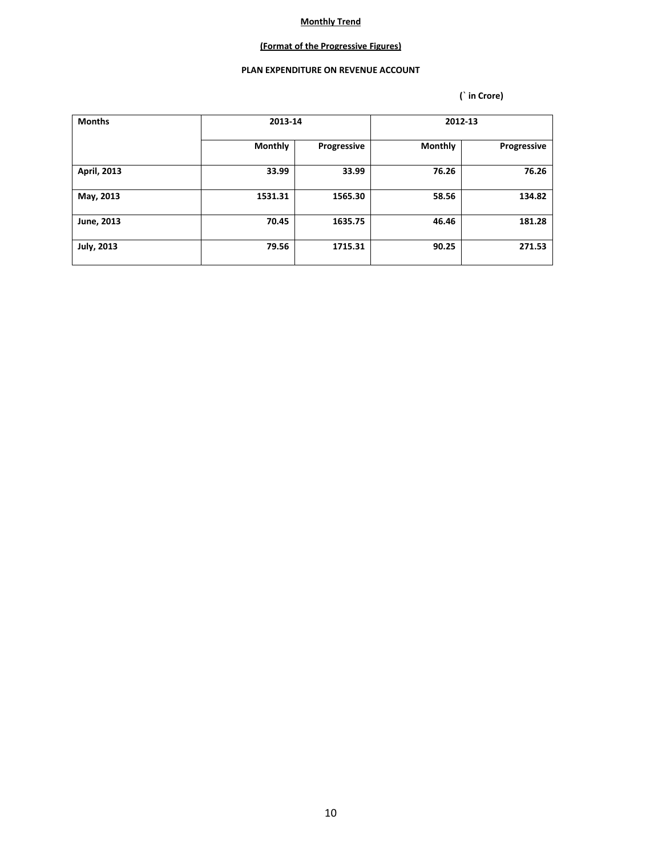## **(Format of the Progressive Figures)**

## **PLAN EXPENDITURE ON REVENUE ACCOUNT**

| <b>Months</b>     | 2013-14        |             | 2012-13        |             |
|-------------------|----------------|-------------|----------------|-------------|
|                   | <b>Monthly</b> | Progressive | <b>Monthly</b> | Progressive |
| April, 2013       | 33.99          | 33.99       | 76.26          | 76.26       |
| May, 2013         | 1531.31        | 1565.30     | 58.56          | 134.82      |
| June, 2013        | 70.45          | 1635.75     | 46.46          | 181.28      |
| <b>July, 2013</b> | 79.56          | 1715.31     | 90.25          | 271.53      |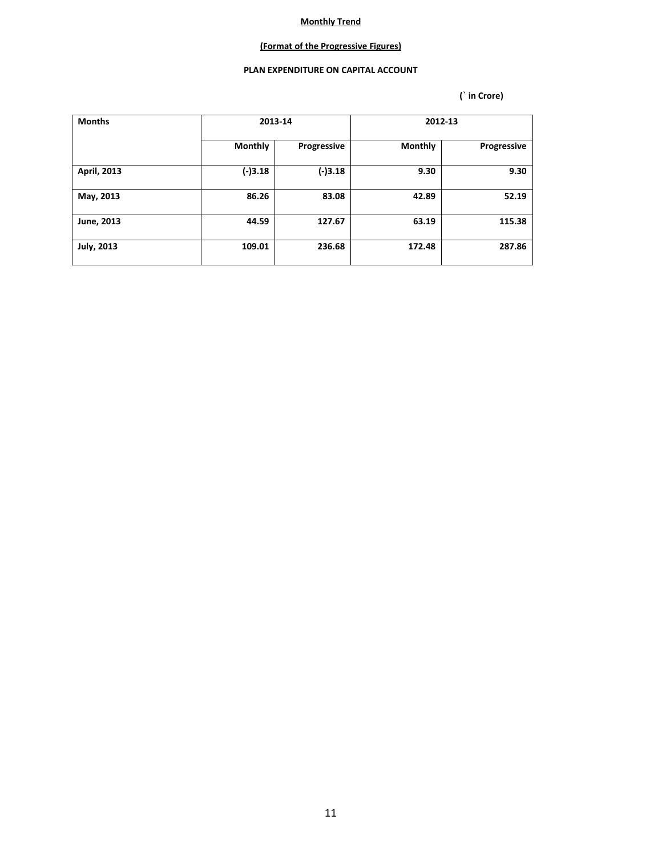## **(Format of the Progressive Figures)**

## **PLAN EXPENDITURE ON CAPITAL ACCOUNT**

| <b>Months</b>     |                | 2013-14     | 2012-13        |             |
|-------------------|----------------|-------------|----------------|-------------|
|                   | <b>Monthly</b> | Progressive | <b>Monthly</b> | Progressive |
| April, 2013       | (-)3.18        | (-)3.18     | 9.30           | 9.30        |
| May, 2013         | 86.26          | 83.08       | 42.89          | 52.19       |
| June, 2013        | 44.59          | 127.67      | 63.19          | 115.38      |
| <b>July, 2013</b> | 109.01         | 236.68      | 172.48         | 287.86      |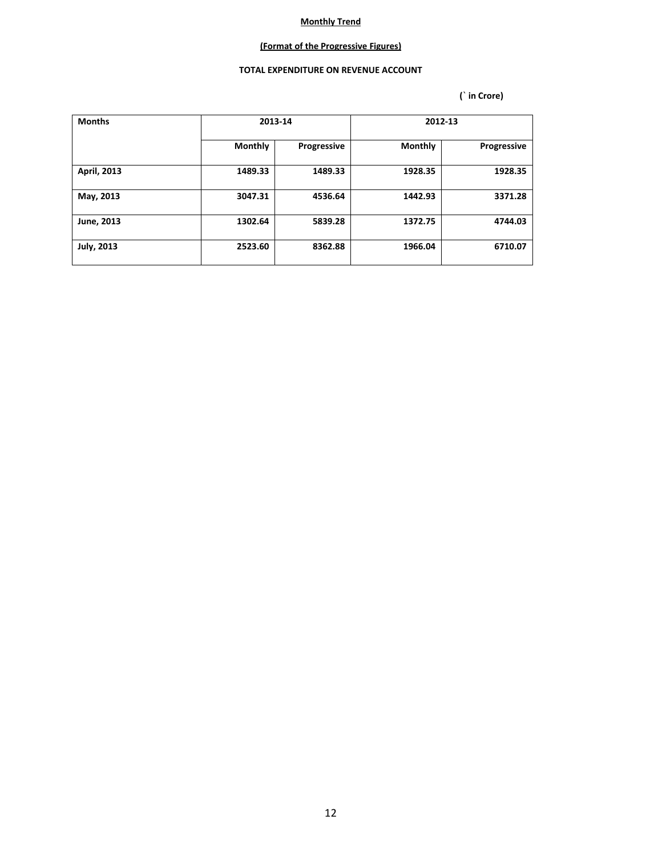## **(Format of the Progressive Figures)**

## **TOTAL EXPENDITURE ON REVENUE ACCOUNT**

| <b>Months</b>     |                | 2013-14     | 2012-13        |             |  |
|-------------------|----------------|-------------|----------------|-------------|--|
|                   | <b>Monthly</b> | Progressive | <b>Monthly</b> | Progressive |  |
| April, 2013       | 1489.33        | 1489.33     | 1928.35        | 1928.35     |  |
| May, 2013         | 3047.31        | 4536.64     | 1442.93        | 3371.28     |  |
| June, 2013        | 1302.64        | 5839.28     | 1372.75        | 4744.03     |  |
| <b>July, 2013</b> | 2523.60        | 8362.88     | 1966.04        | 6710.07     |  |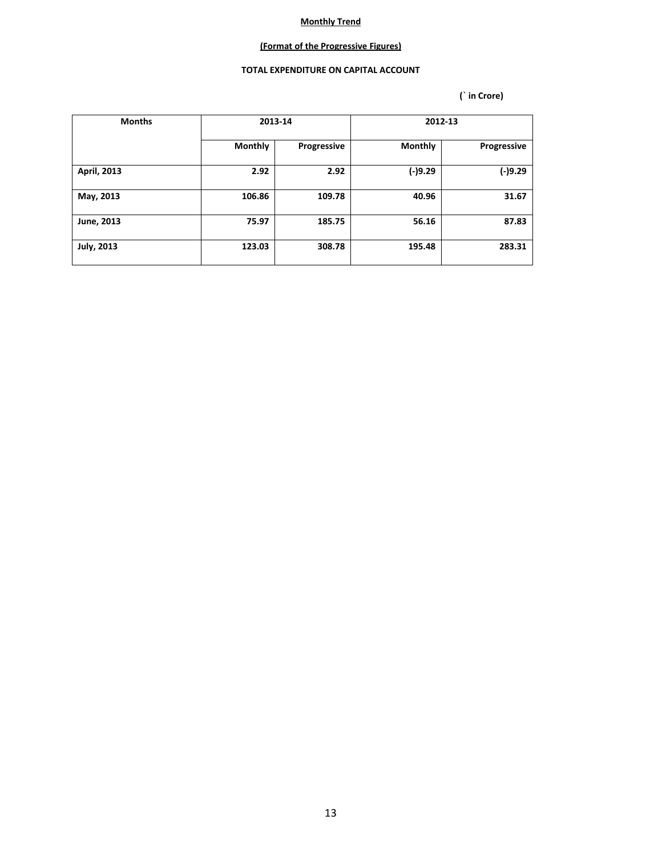## **(Format of the Progressive Figures)**

## **TOTAL EXPENDITURE ON CAPITAL ACCOUNT**

| <b>Months</b>     | 2013-14        |             | 2012-13        |             |  |
|-------------------|----------------|-------------|----------------|-------------|--|
|                   | <b>Monthly</b> | Progressive | <b>Monthly</b> | Progressive |  |
| April, 2013       | 2.92           | 2.92        | (-)9.29        | (-)9.29     |  |
| May, 2013         | 106.86         | 109.78      | 40.96          | 31.67       |  |
| June, 2013        | 75.97          | 185.75      | 56.16          | 87.83       |  |
| <b>July, 2013</b> | 123.03         | 308.78      | 195.48         | 283.31      |  |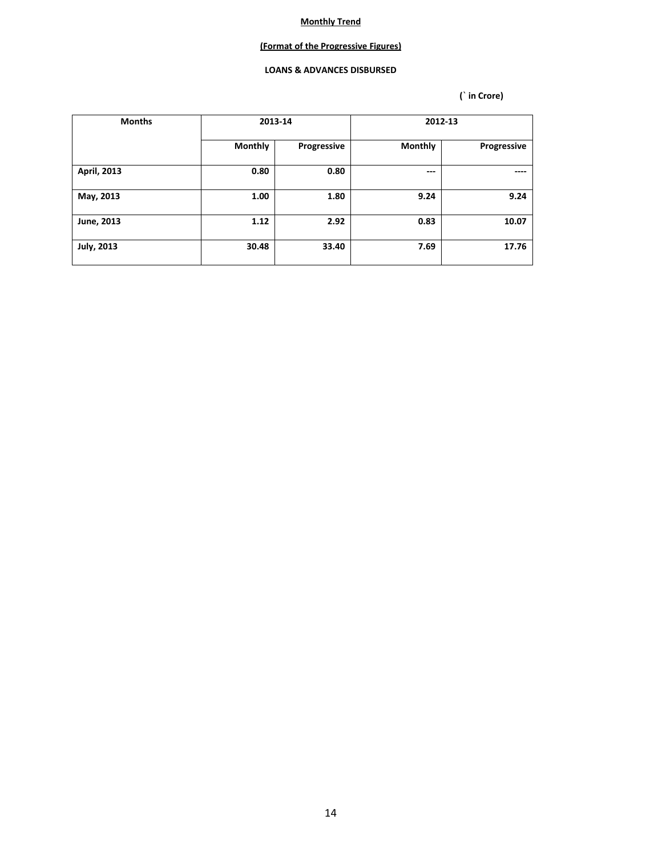## **(Format of the Progressive Figures)**

## **LOANS & ADVANCES DISBURSED**

| <b>Months</b>     | 2013-14        |             | 2012-13        |             |  |
|-------------------|----------------|-------------|----------------|-------------|--|
|                   | <b>Monthly</b> | Progressive | <b>Monthly</b> | Progressive |  |
| April, 2013       | 0.80           | 0.80        | $---$          |             |  |
| May, 2013         | 1.00           | 1.80        | 9.24           | 9.24        |  |
| June, 2013        | 1.12           | 2.92        | 0.83           | 10.07       |  |
| <b>July, 2013</b> | 30.48          | 33.40       | 7.69           | 17.76       |  |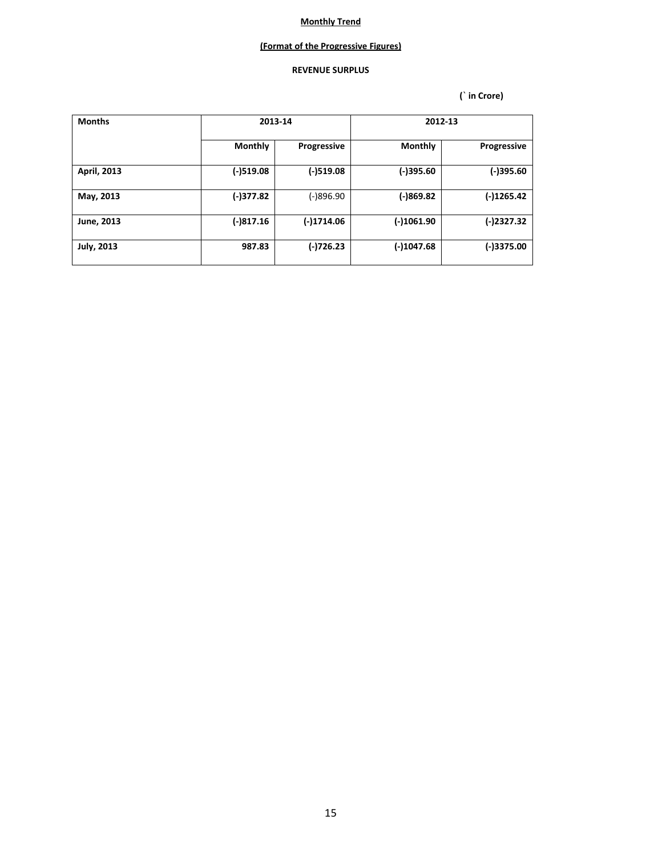## **(Format of the Progressive Figures)**

## **REVENUE SURPLUS**

| <b>Months</b>     | 2013-14        |              | 2012-13        |                    |  |
|-------------------|----------------|--------------|----------------|--------------------|--|
|                   | <b>Monthly</b> | Progressive  | <b>Monthly</b> | <b>Progressive</b> |  |
| April, 2013       | $(-)519.08$    | $(-)519.08$  | $(-)395.60$    | $(-)395.60$        |  |
| May, 2013         | (-)377.82      | $(-)896.90$  | $(-)869.82$    | (-)1265.42         |  |
| June, 2013        | $(-)817.16$    | $(-)1714.06$ | $(-)1061.90$   | (-)2327.32         |  |
| <b>July, 2013</b> | 987.83         | (-)726.23    | (-)1047.68     | (-)3375.00         |  |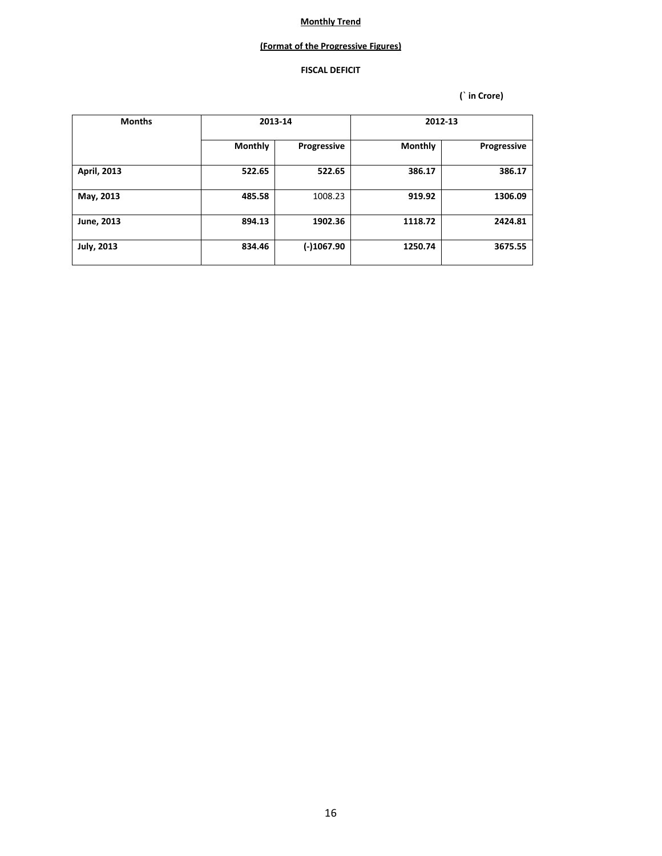## **(Format of the Progressive Figures)**

## **FISCAL DEFICIT**

| <b>Months</b>     | 2013-14        |              | 2012-13        |             |
|-------------------|----------------|--------------|----------------|-------------|
|                   | <b>Monthly</b> | Progressive  | <b>Monthly</b> | Progressive |
| April, 2013       | 522.65         | 522.65       | 386.17         | 386.17      |
| May, 2013         | 485.58         | 1008.23      | 919.92         | 1306.09     |
| June, 2013        | 894.13         | 1902.36      | 1118.72        | 2424.81     |
| <b>July, 2013</b> | 834.46         | $(-)1067.90$ | 1250.74        | 3675.55     |